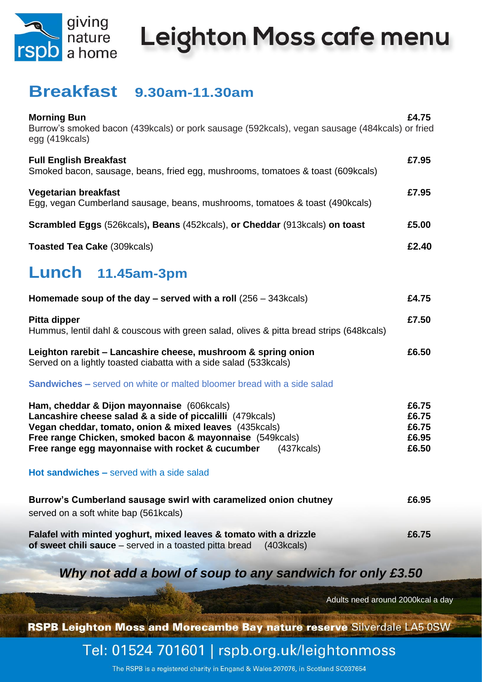

# Leighton Moss cafe menu

### **Breakfast 9.30am-11.30am**

| <b>Morning Bun</b><br>Burrow's smoked bacon (439kcals) or pork sausage (592kcals), vegan sausage (484kcals) or fried<br>egg (419kcals)                                                                                                                                                          | £4.75                                     |
|-------------------------------------------------------------------------------------------------------------------------------------------------------------------------------------------------------------------------------------------------------------------------------------------------|-------------------------------------------|
| <b>Full English Breakfast</b><br>Smoked bacon, sausage, beans, fried egg, mushrooms, tomatoes & toast (609kcals)                                                                                                                                                                                | £7.95                                     |
| <b>Vegetarian breakfast</b><br>Egg, vegan Cumberland sausage, beans, mushrooms, tomatoes & toast (490kcals)                                                                                                                                                                                     | £7.95                                     |
| Scrambled Eggs (526kcals), Beans (452kcals), or Cheddar (913kcals) on toast                                                                                                                                                                                                                     | £5.00                                     |
| <b>Toasted Tea Cake (309kcals)</b>                                                                                                                                                                                                                                                              | £2.40                                     |
| Lunch 11.45am-3pm                                                                                                                                                                                                                                                                               |                                           |
| Homemade soup of the day $-$ served with a roll (256 – 343 kcals)                                                                                                                                                                                                                               | £4.75                                     |
| <b>Pitta dipper</b><br>Hummus, lentil dahl & couscous with green salad, olives & pitta bread strips (648kcals)                                                                                                                                                                                  | £7.50                                     |
| Leighton rarebit - Lancashire cheese, mushroom & spring onion<br>Served on a lightly toasted ciabatta with a side salad (533kcals)                                                                                                                                                              | £6.50                                     |
| <b>Sandwiches –</b> served on white or malted bloomer bread with a side salad                                                                                                                                                                                                                   |                                           |
| Ham, cheddar & Dijon mayonnaise (606kcals)<br>Lancashire cheese salad & a side of piccalilli (479kcals)<br>Vegan cheddar, tomato, onion & mixed leaves (435kcals)<br>Free range Chicken, smoked bacon & mayonnaise (549kcals)<br>Free range egg mayonnaise with rocket & cucumber<br>(437kcals) | £6.75<br>£6.75<br>£6.75<br>£6.95<br>£6.50 |
| <b>Hot sandwiches – served with a side salad</b>                                                                                                                                                                                                                                                |                                           |
| Burrow's Cumberland sausage swirl with caramelized onion chutney                                                                                                                                                                                                                                | £6.95                                     |
| served on a soft white bap (561kcals)                                                                                                                                                                                                                                                           |                                           |
| Falafel with minted yoghurt, mixed leaves & tomato with a drizzle<br>of sweet chili sauce – served in a toasted pitta bread<br>(403kcals)                                                                                                                                                       | £6.75                                     |

*Why not add a bowl of soup to any sandwich for only £3.50*

Adults need around 2000kcal a day

RSPB Leighton Moss and Morecambe Bay nature reserve Silverdale LA5 0SW

Tel: 01524 701601 | rspb.org.uk/leightonmoss

The RSPB is a registered charity in Engand & Wales 207076, in Scotland SC037654